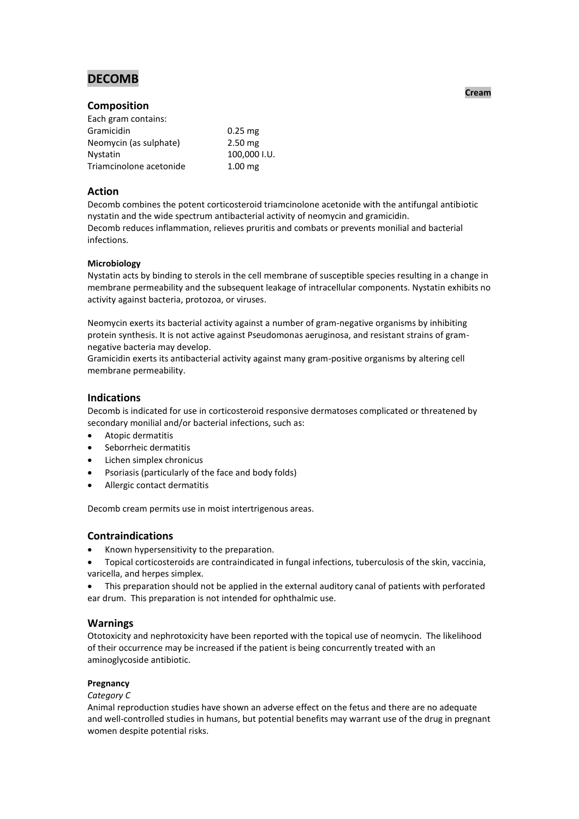# **DECOMB**

# **Composition**

| Each gram contains:     |              |
|-------------------------|--------------|
| Gramicidin              | $0.25$ mg    |
| Neomycin (as sulphate)  | $2.50$ mg    |
| <b>Nystatin</b>         | 100,000 I.U. |
| Triamcinolone acetonide | $1.00$ mg    |

## **Action**

Decomb combines the potent corticosteroid triamcinolone acetonide with the antifungal antibiotic nystatin and the wide spectrum antibacterial activity of neomycin and gramicidin. Decomb reduces inflammation, relieves pruritis and combats or prevents monilial and bacterial infections.

## **Microbiology**

Nystatin acts by binding to sterols in the cell membrane of susceptible species resulting in a change in membrane permeability and the subsequent leakage of intracellular components. Nystatin exhibits no activity against bacteria, protozoa, or viruses.

Neomycin exerts its bacterial activity against a number of gram-negative organisms by inhibiting protein synthesis. It is not active against Pseudomonas aeruginosa, and resistant strains of gramnegative bacteria may develop.

Gramicidin exerts its antibacterial activity against many gram-positive organisms by altering cell membrane permeability.

# **Indications**

Decomb is indicated for use in corticosteroid responsive dermatoses complicated or threatened by secondary monilial and/or bacterial infections, such as:

- Atopic dermatitis
- Seborrheic dermatitis
- Lichen simplex chronicus
- Psoriasis (particularly of the face and body folds)
- Allergic contact dermatitis

Decomb cream permits use in moist intertrigenous areas.

# **Contraindications**

- Known hypersensitivity to the preparation.
- Topical corticosteroids are contraindicated in fungal infections, tuberculosis of the skin, vaccinia, varicella, and herpes simplex.
- This preparation should not be applied in the external auditory canal of patients with perforated ear drum. This preparation is not intended for ophthalmic use.

# **Warnings**

Ototoxicity and nephrotoxicity have been reported with the topical use of neomycin. The likelihood of their occurrence may be increased if the patient is being concurrently treated with an aminoglycoside antibiotic.

## **Pregnancy**

## *Category C*

Animal reproduction studies have shown an adverse effect on the fetus and there are no adequate and well-controlled studies in humans, but potential benefits may warrant use of the drug in pregnant women despite potential risks.

**Cream**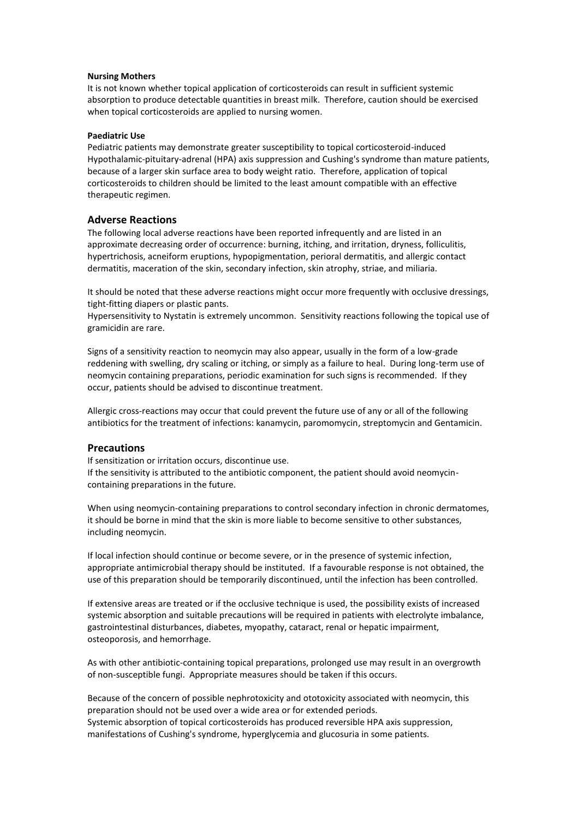#### **Nursing Mothers**

It is not known whether topical application of corticosteroids can result in sufficient systemic absorption to produce detectable quantities in breast milk. Therefore, caution should be exercised when topical corticosteroids are applied to nursing women.

#### **Paediatric Use**

Pediatric patients may demonstrate greater susceptibility to topical corticosteroid-induced Hypothalamic-pituitary-adrenal (HPA) axis suppression and Cushing's syndrome than mature patients, because of a larger skin surface area to body weight ratio. Therefore, application of topical corticosteroids to children should be limited to the least amount compatible with an effective therapeutic regimen.

#### **Adverse Reactions**

The following local adverse reactions have been reported infrequently and are listed in an approximate decreasing order of occurrence: burning, itching, and irritation, dryness, folliculitis, hypertrichosis, acneiform eruptions, hypopigmentation, perioral dermatitis, and allergic contact dermatitis, maceration of the skin, secondary infection, skin atrophy, striae, and miliaria.

It should be noted that these adverse reactions might occur more frequently with occlusive dressings, tight-fitting diapers or plastic pants.

Hypersensitivity to Nystatin is extremely uncommon. Sensitivity reactions following the topical use of gramicidin are rare.

Signs of a sensitivity reaction to neomycin may also appear, usually in the form of a low-grade reddening with swelling, dry scaling or itching, or simply as a failure to heal. During long-term use of neomycin containing preparations, periodic examination for such signs is recommended. If they occur, patients should be advised to discontinue treatment.

Allergic cross-reactions may occur that could prevent the future use of any or all of the following antibiotics for the treatment of infections: kanamycin, paromomycin, streptomycin and Gentamicin.

#### **Precautions**

If sensitization or irritation occurs, discontinue use. If the sensitivity is attributed to the antibiotic component, the patient should avoid neomycincontaining preparations in the future.

When using neomycin-containing preparations to control secondary infection in chronic dermatomes, it should be borne in mind that the skin is more liable to become sensitive to other substances, including neomycin.

If local infection should continue or become severe, or in the presence of systemic infection, appropriate antimicrobial therapy should be instituted. If a favourable response is not obtained, the use of this preparation should be temporarily discontinued, until the infection has been controlled.

If extensive areas are treated or if the occlusive technique is used, the possibility exists of increased systemic absorption and suitable precautions will be required in patients with electrolyte imbalance, gastrointestinal disturbances, diabetes, myopathy, cataract, renal or hepatic impairment, osteoporosis, and hemorrhage.

As with other antibiotic-containing topical preparations, prolonged use may result in an overgrowth of non-susceptible fungi. Appropriate measures should be taken if this occurs.

Because of the concern of possible nephrotoxicity and ototoxicity associated with neomycin, this preparation should not be used over a wide area or for extended periods. Systemic absorption of topical corticosteroids has produced reversible HPA axis suppression, manifestations of Cushing's syndrome, hyperglycemia and glucosuria in some patients.